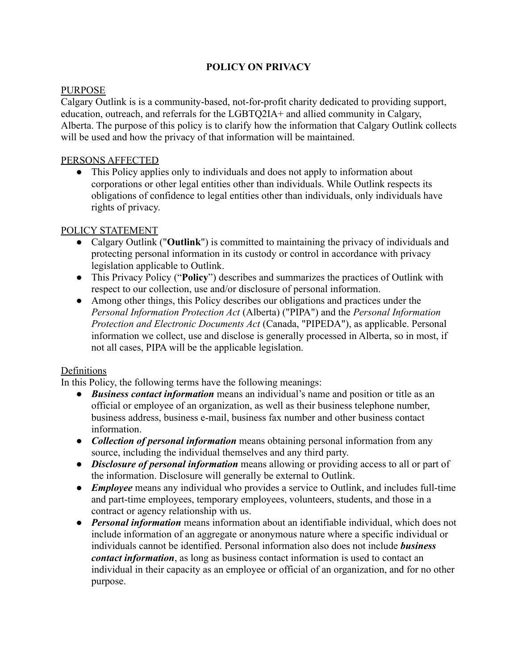# **POLICY ON PRIVACY**

### PURPOSE

Calgary Outlink is is a community-based, not-for-profit charity dedicated to providing support, education, outreach, and referrals for the LGBTQ2IA+ and allied community in Calgary, Alberta. The purpose of this policy is to clarify how the information that Calgary Outlink collects will be used and how the privacy of that information will be maintained.

#### PERSONS AFFECTED

• This Policy applies only to individuals and does not apply to information about corporations or other legal entities other than individuals. While Outlink respects its obligations of confidence to legal entities other than individuals, only individuals have rights of privacy.

#### POLICY STATEMENT

- Calgary Outlink ("**Outlink**") is committed to maintaining the privacy of individuals and protecting personal information in its custody or control in accordance with privacy legislation applicable to Outlink.
- This Privacy Policy ("**Policy**") describes and summarizes the practices of Outlink with respect to our collection, use and/or disclosure of personal information.
- Among other things, this Policy describes our obligations and practices under the *Personal Information Protection Act* (Alberta) ("PIPA") and the *Personal Information Protection and Electronic Documents Act* (Canada, "PIPEDA"), as applicable. Personal information we collect, use and disclose is generally processed in Alberta, so in most, if not all cases, PIPA will be the applicable legislation.

#### **Definitions**

In this Policy, the following terms have the following meanings:

- *Business contact information* means an individual's name and position or title as an official or employee of an organization, as well as their business telephone number, business address, business e-mail, business fax number and other business contact information.
- *Collection of personal information* means obtaining personal information from any source, including the individual themselves and any third party.
- *Disclosure of personal information* means allowing or providing access to all or part of the information. Disclosure will generally be external to Outlink.
- *Employee* means any individual who provides a service to Outlink, and includes full-time and part-time employees, temporary employees, volunteers, students, and those in a contract or agency relationship with us.
- *Personal information* means information about an identifiable individual, which does not include information of an aggregate or anonymous nature where a specific individual or individuals cannot be identified. Personal information also does not include *business contact information*, as long as business contact information is used to contact an individual in their capacity as an employee or official of an organization, and for no other purpose.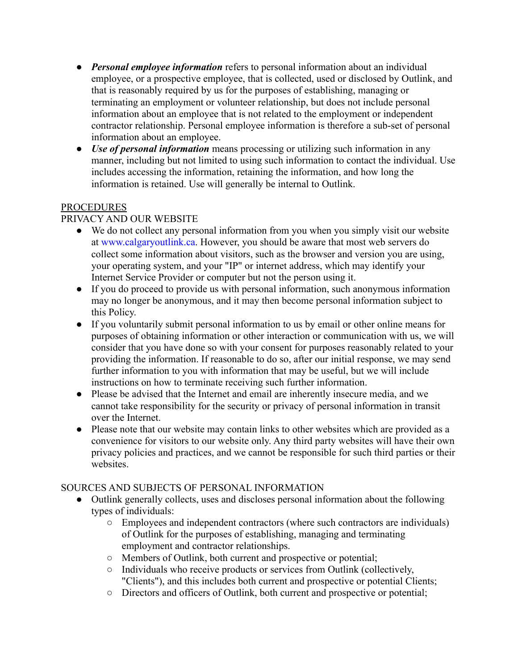- *Personal employee information* refers to personal information about an individual employee, or a prospective employee, that is collected, used or disclosed by Outlink, and that is reasonably required by us for the purposes of establishing, managing or terminating an employment or volunteer relationship, but does not include personal information about an employee that is not related to the employment or independent contractor relationship. Personal employee information is therefore a sub-set of personal information about an employee.
- *Use of personal information* means processing or utilizing such information in any manner, including but not limited to using such information to contact the individual. Use includes accessing the information, retaining the information, and how long the information is retained. Use will generally be internal to Outlink.

## **PROCEDURES**

## PRIVACY AND OUR WEBSITE

- We do not collect any personal information from you when you simply visit our website at www.calgaryoutlink.ca. However, you should be aware that most web servers do collect some information about visitors, such as the browser and version you are using, your operating system, and your "IP" or internet address, which may identify your Internet Service Provider or computer but not the person using it.
- If you do proceed to provide us with personal information, such anonymous information may no longer be anonymous, and it may then become personal information subject to this Policy.
- If you voluntarily submit personal information to us by email or other online means for purposes of obtaining information or other interaction or communication with us, we will consider that you have done so with your consent for purposes reasonably related to your providing the information. If reasonable to do so, after our initial response, we may send further information to you with information that may be useful, but we will include instructions on how to terminate receiving such further information.
- Please be advised that the Internet and email are inherently insecure media, and we cannot take responsibility for the security or privacy of personal information in transit over the Internet.
- Please note that our website may contain links to other websites which are provided as a convenience for visitors to our website only. Any third party websites will have their own privacy policies and practices, and we cannot be responsible for such third parties or their websites.

### SOURCES AND SUBJECTS OF PERSONAL INFORMATION

- Outlink generally collects, uses and discloses personal information about the following types of individuals:
	- Employees and independent contractors (where such contractors are individuals) of Outlink for the purposes of establishing, managing and terminating employment and contractor relationships.
	- Members of Outlink, both current and prospective or potential;
	- Individuals who receive products or services from Outlink (collectively, "Clients"), and this includes both current and prospective or potential Clients;
	- Directors and officers of Outlink, both current and prospective or potential;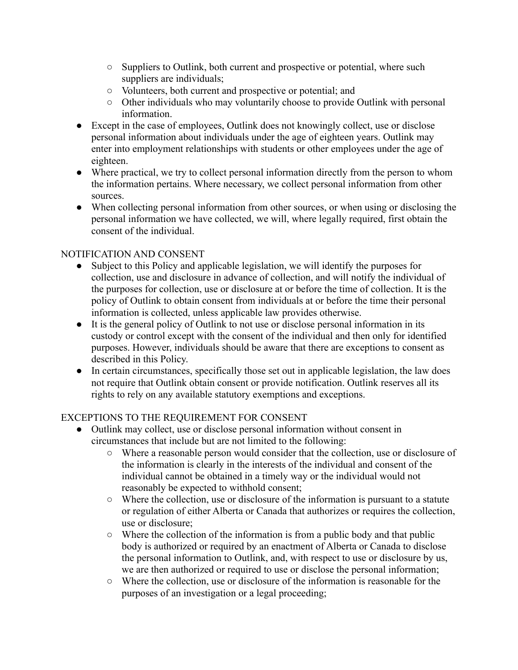- Suppliers to Outlink, both current and prospective or potential, where such suppliers are individuals;
- Volunteers, both current and prospective or potential; and
- Other individuals who may voluntarily choose to provide Outlink with personal information.
- Except in the case of employees, Outlink does not knowingly collect, use or disclose personal information about individuals under the age of eighteen years. Outlink may enter into employment relationships with students or other employees under the age of eighteen.
- Where practical, we try to collect personal information directly from the person to whom the information pertains. Where necessary, we collect personal information from other sources.
- When collecting personal information from other sources, or when using or disclosing the personal information we have collected, we will, where legally required, first obtain the consent of the individual.

## NOTIFICATION AND CONSENT

- Subject to this Policy and applicable legislation, we will identify the purposes for collection, use and disclosure in advance of collection, and will notify the individual of the purposes for collection, use or disclosure at or before the time of collection. It is the policy of Outlink to obtain consent from individuals at or before the time their personal information is collected, unless applicable law provides otherwise.
- It is the general policy of Outlink to not use or disclose personal information in its custody or control except with the consent of the individual and then only for identified purposes. However, individuals should be aware that there are exceptions to consent as described in this Policy.
- In certain circumstances, specifically those set out in applicable legislation, the law does not require that Outlink obtain consent or provide notification. Outlink reserves all its rights to rely on any available statutory exemptions and exceptions.

# EXCEPTIONS TO THE REQUIREMENT FOR CONSENT

- Outlink may collect, use or disclose personal information without consent in circumstances that include but are not limited to the following:
	- Where a reasonable person would consider that the collection, use or disclosure of the information is clearly in the interests of the individual and consent of the individual cannot be obtained in a timely way or the individual would not reasonably be expected to withhold consent;
	- Where the collection, use or disclosure of the information is pursuant to a statute or regulation of either Alberta or Canada that authorizes or requires the collection, use or disclosure;
	- Where the collection of the information is from a public body and that public body is authorized or required by an enactment of Alberta or Canada to disclose the personal information to Outlink, and, with respect to use or disclosure by us, we are then authorized or required to use or disclose the personal information;
	- Where the collection, use or disclosure of the information is reasonable for the purposes of an investigation or a legal proceeding;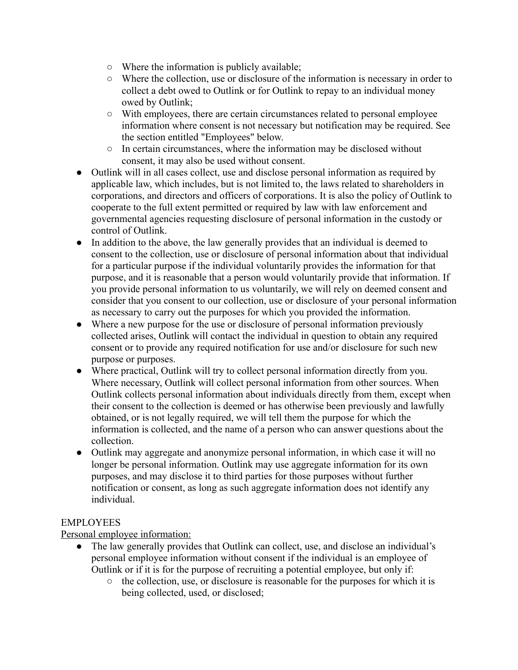- Where the information is publicly available;
- Where the collection, use or disclosure of the information is necessary in order to collect a debt owed to Outlink or for Outlink to repay to an individual money owed by Outlink;
- With employees, there are certain circumstances related to personal employee information where consent is not necessary but notification may be required. See the section entitled "Employees" below.
- In certain circumstances, where the information may be disclosed without consent, it may also be used without consent.
- Outlink will in all cases collect, use and disclose personal information as required by applicable law, which includes, but is not limited to, the laws related to shareholders in corporations, and directors and officers of corporations. It is also the policy of Outlink to cooperate to the full extent permitted or required by law with law enforcement and governmental agencies requesting disclosure of personal information in the custody or control of Outlink.
- In addition to the above, the law generally provides that an individual is deemed to consent to the collection, use or disclosure of personal information about that individual for a particular purpose if the individual voluntarily provides the information for that purpose, and it is reasonable that a person would voluntarily provide that information. If you provide personal information to us voluntarily, we will rely on deemed consent and consider that you consent to our collection, use or disclosure of your personal information as necessary to carry out the purposes for which you provided the information.
- Where a new purpose for the use or disclosure of personal information previously collected arises, Outlink will contact the individual in question to obtain any required consent or to provide any required notification for use and/or disclosure for such new purpose or purposes.
- Where practical, Outlink will try to collect personal information directly from you. Where necessary, Outlink will collect personal information from other sources. When Outlink collects personal information about individuals directly from them, except when their consent to the collection is deemed or has otherwise been previously and lawfully obtained, or is not legally required, we will tell them the purpose for which the information is collected, and the name of a person who can answer questions about the collection.
- Outlink may aggregate and anonymize personal information, in which case it will no longer be personal information. Outlink may use aggregate information for its own purposes, and may disclose it to third parties for those purposes without further notification or consent, as long as such aggregate information does not identify any individual.

# EMPLOYEES

# Personal employee information:

- The law generally provides that Outlink can collect, use, and disclose an individual's personal employee information without consent if the individual is an employee of Outlink or if it is for the purpose of recruiting a potential employee, but only if:
	- the collection, use, or disclosure is reasonable for the purposes for which it is being collected, used, or disclosed;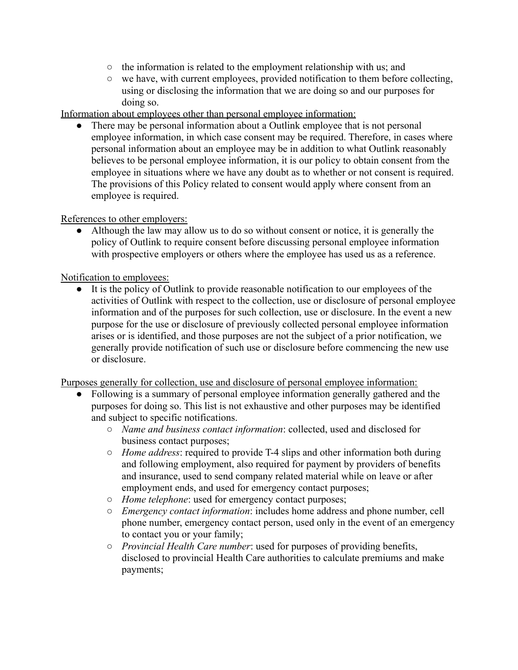- the information is related to the employment relationship with us; and
- we have, with current employees, provided notification to them before collecting, using or disclosing the information that we are doing so and our purposes for doing so.

Information about employees other than personal employee information:

• There may be personal information about a Outlink employee that is not personal employee information, in which case consent may be required. Therefore, in cases where personal information about an employee may be in addition to what Outlink reasonably believes to be personal employee information, it is our policy to obtain consent from the employee in situations where we have any doubt as to whether or not consent is required. The provisions of this Policy related to consent would apply where consent from an employee is required.

## References to other employers:

• Although the law may allow us to do so without consent or notice, it is generally the policy of Outlink to require consent before discussing personal employee information with prospective employers or others where the employee has used us as a reference.

## Notification to employees:

● It is the policy of Outlink to provide reasonable notification to our employees of the activities of Outlink with respect to the collection, use or disclosure of personal employee information and of the purposes for such collection, use or disclosure. In the event a new purpose for the use or disclosure of previously collected personal employee information arises or is identified, and those purposes are not the subject of a prior notification, we generally provide notification of such use or disclosure before commencing the new use or disclosure.

Purposes generally for collection, use and disclosure of personal employee information:

- Following is a summary of personal employee information generally gathered and the purposes for doing so. This list is not exhaustive and other purposes may be identified and subject to specific notifications.
	- *Name and business contact information*: collected, used and disclosed for business contact purposes;
	- *Home address*: required to provide T-4 slips and other information both during and following employment, also required for payment by providers of benefits and insurance, used to send company related material while on leave or after employment ends, and used for emergency contact purposes;
	- *Home telephone*: used for emergency contact purposes;
	- *Emergency contact information*: includes home address and phone number, cell phone number, emergency contact person, used only in the event of an emergency to contact you or your family;
	- *Provincial Health Care number*: used for purposes of providing benefits, disclosed to provincial Health Care authorities to calculate premiums and make payments;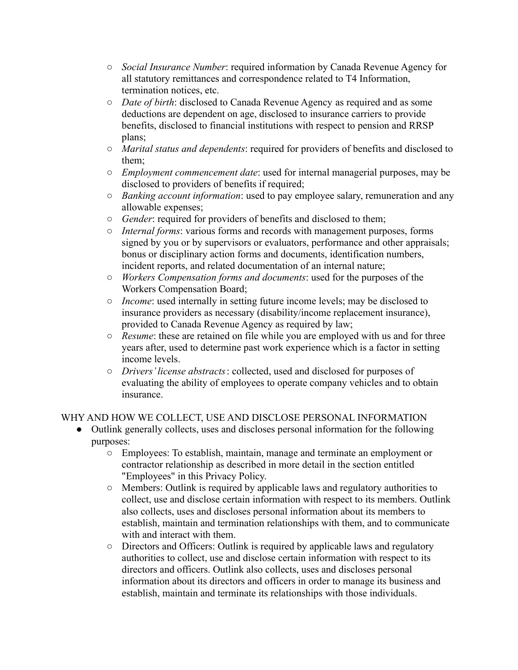- *Social Insurance Number*: required information by Canada Revenue Agency for all statutory remittances and correspondence related to T4 Information, termination notices, etc.
- *Date of birth*: disclosed to Canada Revenue Agency as required and as some deductions are dependent on age, disclosed to insurance carriers to provide benefits, disclosed to financial institutions with respect to pension and RRSP plans;
- *Marital status and dependents*: required for providers of benefits and disclosed to them;
- *Employment commencement date*: used for internal managerial purposes, may be disclosed to providers of benefits if required;
- *Banking account information*: used to pay employee salary, remuneration and any allowable expenses;
- *Gender*: required for providers of benefits and disclosed to them;
- *Internal forms*: various forms and records with management purposes, forms signed by you or by supervisors or evaluators, performance and other appraisals; bonus or disciplinary action forms and documents, identification numbers, incident reports, and related documentation of an internal nature;
- *Workers Compensation forms and documents*: used for the purposes of the Workers Compensation Board;
- *Income*: used internally in setting future income levels; may be disclosed to insurance providers as necessary (disability/income replacement insurance), provided to Canada Revenue Agency as required by law;
- *Resume*: these are retained on file while you are employed with us and for three years after, used to determine past work experience which is a factor in setting income levels.
- *Drivers' license abstracts*: collected, used and disclosed for purposes of evaluating the ability of employees to operate company vehicles and to obtain insurance.

### WHY AND HOW WE COLLECT, USE AND DISCLOSE PERSONAL INFORMATION

- Outlink generally collects, uses and discloses personal information for the following purposes:
	- Employees: To establish, maintain, manage and terminate an employment or contractor relationship as described in more detail in the section entitled "Employees" in this Privacy Policy.
	- Members: Outlink is required by applicable laws and regulatory authorities to collect, use and disclose certain information with respect to its members. Outlink also collects, uses and discloses personal information about its members to establish, maintain and termination relationships with them, and to communicate with and interact with them.
	- Directors and Officers: Outlink is required by applicable laws and regulatory authorities to collect, use and disclose certain information with respect to its directors and officers. Outlink also collects, uses and discloses personal information about its directors and officers in order to manage its business and establish, maintain and terminate its relationships with those individuals.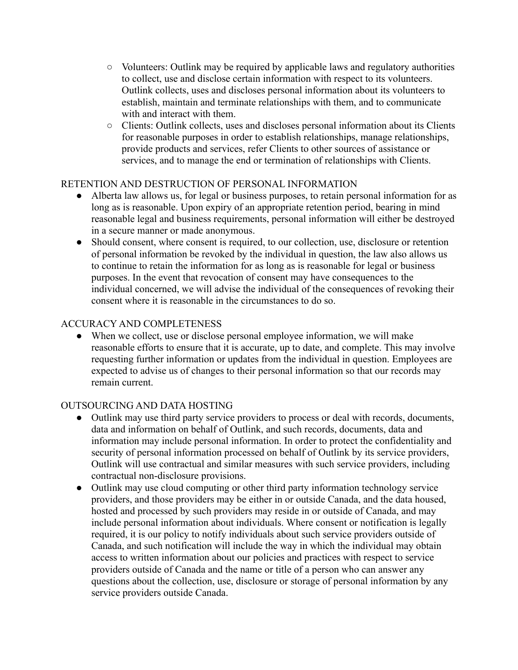- Volunteers: Outlink may be required by applicable laws and regulatory authorities to collect, use and disclose certain information with respect to its volunteers. Outlink collects, uses and discloses personal information about its volunteers to establish, maintain and terminate relationships with them, and to communicate with and interact with them.
- Clients: Outlink collects, uses and discloses personal information about its Clients for reasonable purposes in order to establish relationships, manage relationships, provide products and services, refer Clients to other sources of assistance or services, and to manage the end or termination of relationships with Clients.

## RETENTION AND DESTRUCTION OF PERSONAL INFORMATION

- Alberta law allows us, for legal or business purposes, to retain personal information for as long as is reasonable. Upon expiry of an appropriate retention period, bearing in mind reasonable legal and business requirements, personal information will either be destroyed in a secure manner or made anonymous.
- Should consent, where consent is required, to our collection, use, disclosure or retention of personal information be revoked by the individual in question, the law also allows us to continue to retain the information for as long as is reasonable for legal or business purposes. In the event that revocation of consent may have consequences to the individual concerned, we will advise the individual of the consequences of revoking their consent where it is reasonable in the circumstances to do so.

### ACCURACY AND COMPLETENESS

• When we collect, use or disclose personal employee information, we will make reasonable efforts to ensure that it is accurate, up to date, and complete. This may involve requesting further information or updates from the individual in question. Employees are expected to advise us of changes to their personal information so that our records may remain current.

### OUTSOURCING AND DATA HOSTING

- Outlink may use third party service providers to process or deal with records, documents, data and information on behalf of Outlink, and such records, documents, data and information may include personal information. In order to protect the confidentiality and security of personal information processed on behalf of Outlink by its service providers, Outlink will use contractual and similar measures with such service providers, including contractual non-disclosure provisions.
- Outlink may use cloud computing or other third party information technology service providers, and those providers may be either in or outside Canada, and the data housed, hosted and processed by such providers may reside in or outside of Canada, and may include personal information about individuals. Where consent or notification is legally required, it is our policy to notify individuals about such service providers outside of Canada, and such notification will include the way in which the individual may obtain access to written information about our policies and practices with respect to service providers outside of Canada and the name or title of a person who can answer any questions about the collection, use, disclosure or storage of personal information by any service providers outside Canada.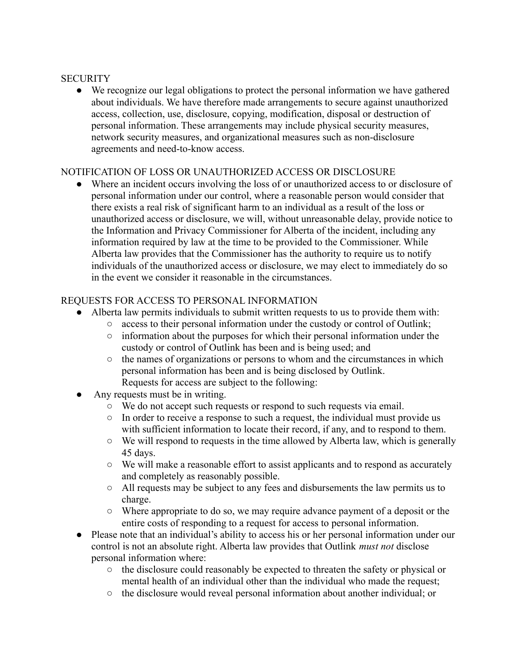#### **SECURITY**

● We recognize our legal obligations to protect the personal information we have gathered about individuals. We have therefore made arrangements to secure against unauthorized access, collection, use, disclosure, copying, modification, disposal or destruction of personal information. These arrangements may include physical security measures, network security measures, and organizational measures such as non-disclosure agreements and need-to-know access.

#### NOTIFICATION OF LOSS OR UNAUTHORIZED ACCESS OR DISCLOSURE

● Where an incident occurs involving the loss of or unauthorized access to or disclosure of personal information under our control, where a reasonable person would consider that there exists a real risk of significant harm to an individual as a result of the loss or unauthorized access or disclosure, we will, without unreasonable delay, provide notice to the Information and Privacy Commissioner for Alberta of the incident, including any information required by law at the time to be provided to the Commissioner. While Alberta law provides that the Commissioner has the authority to require us to notify individuals of the unauthorized access or disclosure, we may elect to immediately do so in the event we consider it reasonable in the circumstances.

### REQUESTS FOR ACCESS TO PERSONAL INFORMATION

- Alberta law permits individuals to submit written requests to us to provide them with:
	- access to their personal information under the custody or control of Outlink;
	- information about the purposes for which their personal information under the custody or control of Outlink has been and is being used; and
	- the names of organizations or persons to whom and the circumstances in which personal information has been and is being disclosed by Outlink. Requests for access are subject to the following:
- Any requests must be in writing.
	- We do not accept such requests or respond to such requests via email.
	- In order to receive a response to such a request, the individual must provide us with sufficient information to locate their record, if any, and to respond to them.
	- We will respond to requests in the time allowed by Alberta law, which is generally 45 days.
	- We will make a reasonable effort to assist applicants and to respond as accurately and completely as reasonably possible.
	- All requests may be subject to any fees and disbursements the law permits us to charge.
	- Where appropriate to do so, we may require advance payment of a deposit or the entire costs of responding to a request for access to personal information.
- Please note that an individual's ability to access his or her personal information under our control is not an absolute right. Alberta law provides that Outlink *must not* disclose personal information where:
	- the disclosure could reasonably be expected to threaten the safety or physical or mental health of an individual other than the individual who made the request;
	- the disclosure would reveal personal information about another individual; or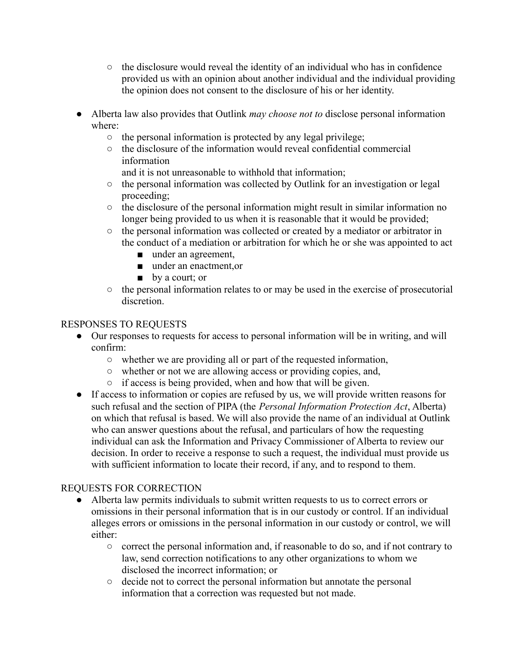- $\circ$  the disclosure would reveal the identity of an individual who has in confidence provided us with an opinion about another individual and the individual providing the opinion does not consent to the disclosure of his or her identity.
- Alberta law also provides that Outlink *may choose not to* disclose personal information where:
	- the personal information is protected by any legal privilege;
	- the disclosure of the information would reveal confidential commercial information
		- and it is not unreasonable to withhold that information;
	- the personal information was collected by Outlink for an investigation or legal proceeding;
	- the disclosure of the personal information might result in similar information no longer being provided to us when it is reasonable that it would be provided;
	- the personal information was collected or created by a mediator or arbitrator in the conduct of a mediation or arbitration for which he or she was appointed to act
		- under an agreement,
		- under an enactment, or
		- by a court; or
	- the personal information relates to or may be used in the exercise of prosecutorial discretion.

### RESPONSES TO REQUESTS

- Our responses to requests for access to personal information will be in writing, and will confirm:
	- whether we are providing all or part of the requested information,
	- whether or not we are allowing access or providing copies, and,
	- if access is being provided, when and how that will be given.
- If access to information or copies are refused by us, we will provide written reasons for such refusal and the section of PIPA (the *Personal Information Protection Act*, Alberta) on which that refusal is based. We will also provide the name of an individual at Outlink who can answer questions about the refusal, and particulars of how the requesting individual can ask the Information and Privacy Commissioner of Alberta to review our decision. In order to receive a response to such a request, the individual must provide us with sufficient information to locate their record, if any, and to respond to them.

# REQUESTS FOR CORRECTION

- Alberta law permits individuals to submit written requests to us to correct errors or omissions in their personal information that is in our custody or control. If an individual alleges errors or omissions in the personal information in our custody or control, we will either:
	- correct the personal information and, if reasonable to do so, and if not contrary to law, send correction notifications to any other organizations to whom we disclosed the incorrect information; or
	- decide not to correct the personal information but annotate the personal information that a correction was requested but not made.